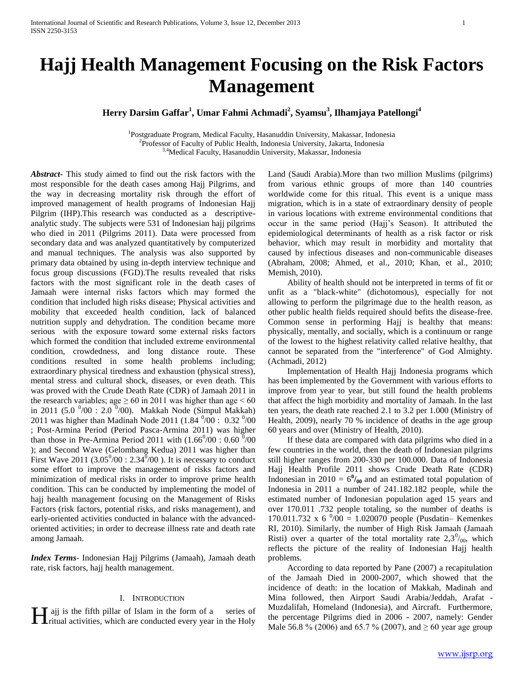# **Hajj Health Management Focusing on the Risk Factors Management**

**Herry Darsim Gaffar<sup>1</sup> , Umar Fahmi Achmadi<sup>2</sup> , Syamsu<sup>3</sup> , Ilhamjaya Patellongi<sup>4</sup>**

<sup>1</sup>Postgraduate Program, Medical Faculty, Hasanuddin University, Makassar, Indonesia <sup>2</sup>Professor of Faculty of Public Health, Indonesia University, Jakarta, Indonesia 3,4Medical Faculty, Hasanuddin University, Makassar, Indonesia

*Abstract***-** This study aimed to find out the risk factors with the most responsible for the death cases among Hajj Pilgrims, and the way in decreasing mortality risk through the effort of improved management of health programs of Indonesian Hajj Pilgrim (IHP).This research was conducted as a descriptiveanalytic study. The subjects were 531 of Indonesian hajj pilgrims who died in 2011 (Pilgrims 2011). Data were processed from secondary data and was analyzed quantitatively by computerized and manual techniques. The analysis was also supported by primary data obtained by using in-depth interview technique and focus group discussions (FGD).The results revealed that risks factors with the most significant role in the death cases of Jamaah were internal risks factors which may formed the condition that included high risks disease; Physical activities and mobility that exceeded health condition, lack of balanced nutrition supply and dehydration. The condition became more serious with the exposure toward some external risks factors which formed the condition that included extreme environmental condition, crowdedness, and long distance route. These conditions resulted in some health problems including; extraordinary physical tiredness and exhaustion (physical stress), mental stress and cultural shock, diseases, or even death. This was proved with the Crude Death Rate (CDR) of Jamaah 2011 in the research variables; age  $\geq 60$  in 2011 was higher than age  $\leq 60$ in 2011 (5.0  $^{0}/00$  : 2.0  $^{0}/00$ ). Makkah Node (Simpul Makkah) 2011 was higher than Madinah Node 2011 (1.84  $^{0}/00$  : 0.32  $^{0}/00$ ; Post-Armina Period (Period Pasca-Armina 2011) was higher than those in Pre-Armina Period 2011 with  $(1.66^0/00: 0.60^0/00)$ ); and Second Wave (Gelombang Kedua) 2011 was higher than First Wave 2011 (3.05 $^{\circ}/00$  : 2.34 $^{\circ}/00$ ). It is necessary to conduct some effort to improve the management of risks factors and minimization of medical risks in order to improve prime health condition. This can be conducted by implementing the model of hajj health management focusing on the Management of Risks Factors (risk factors, potential risks, and risks management), and early-oriented activities conducted in balance with the advancedoriented activities; in order to decrease illness rate and death rate among Jamaah.

*Index Terms*- Indonesian Hajj Pilgrims (Jamaah), Jamaah death rate, risk factors, hajj health management.

### I. INTRODUCTION

ajj is the fifth pillar of Islam in the form of a series of

Land (Saudi Arabia).More than two million Muslims (pilgrims) from various ethnic groups of more than 140 countries worldwide come for this ritual. This event is a unique mass migration, which is in a state of extraordinary density of people in various locations with extreme environmental conditions that occur in the same period (Hajj's Season). It attributed the epidemiological determinants of health as a risk factor or risk behavior, which may result in morbidity and mortality that caused by infectious diseases and non-communicable diseases (Abraham, 2008; Ahmed, et al., 2010; Khan, et al., 2010; Memish, 2010).

 Ability of health should not be interpreted in terms of fit or unfit as a "black-white" (dichotomous), especially for not allowing to perform the pilgrimage due to the health reason, as other public health fields required should befits the disease-free. Common sense in performing Hajj is healthy that means: physically, mentally, and socially, which is a continuum or range of the lowest to the highest relativity called relative healthy, that cannot be separated from the "interference" of God Almighty. (Achmadi, 2012)

 Implementation of Health Hajj Indonesia programs which has been implemented by the Government with various efforts to improve from year to year, but still found the health problems that affect the high morbidity and mortality of Jamaah. In the last ten years, the death rate reached 2.1 to 3.2 per 1.000 (Ministry of Health, 2009), nearly 70 % incidence of deaths in the age group 60 years and over (Ministry of Health, 2010).

 If these data are compared with data pilgrims who died in a few countries in the world, then the death of Indonesian pilgrims still higher ranges from 200-330 per 100.000. Data of Indonesia Hajj Health Profile 2011 shows Crude Death Rate (CDR) Indonesian in 2010 =  $6^{0}/_{00}$  and an estimated total population of Indonesia in 2011 a number of 241.182.182 people, while the estimated number of Indonesian population aged 15 years and over 170.011 .732 people totaling, so the number of deaths is 170.011.732 x 6  $^{0}/00 = 1.020070$  people (Pusdatin– Kemenkes RI, 2010). Similarly, the number of High Risk Jamaah (Jamaah Risti) over a quarter of the total mortality rate  $2,3^{0}/_{00}$ , which reflects the picture of the reality of Indonesian Hajj health problems.

**The percentage Pilgrims died in 2006 - 2007, namely:** Gender Tritual activities, which are conducted every year in the Holy Tritual activities, which are conducted every year in the Holy Male 56.8 % (2006) and 65.7 % (20 According to data reported by Pane (2007) a recapitulation of the Jamaah Died in 2000-2007, which showed that the incidence of death: in the location of Makkah, Madinah and Mina followed, then Airport Saudi Arabia/Jeddah, Arafat - Muzdalifah, Homeland (Indonesia), and Aircraft. Furthermore,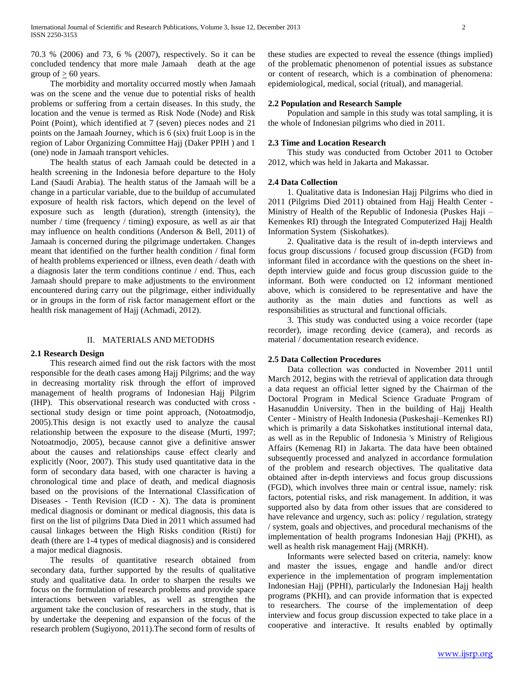70.3 % (2006) and 73, 6 % (2007), respectively. So it can be concluded tendency that more male Jamaah death at the age group of  $> 60$  years.

 The morbidity and mortality occurred mostly when Jamaah was on the scene and the venue due to potential risks of health problems or suffering from a certain diseases. In this study, the location and the venue is termed as Risk Node (Node) and Risk Point (Point), which identified at 7 (seven) pieces nodes and 21 points on the Jamaah Journey, which is 6 (six) fruit Loop is in the region of Labor Organizing Committee Hajj (Daker PPIH ) and 1 (one) node in Jamaah transport vehicles.

 The health status of each Jamaah could be detected in a health screening in the Indonesia before departure to the Holy Land (Saudi Arabia). The health status of the Jamaah will be a change in a particular variable, due to the buildup of accumulated exposure of health risk factors, which depend on the level of exposure such as length (duration), strength (intensity), the number / time (frequency / timing) exposure, as well as air that may influence on health conditions (Anderson & Bell, 2011) of Jamaah is concerned during the pilgrimage undertaken. Changes meant that identified on the further health condition / final form of health problems experienced or illness, even death / death with a diagnosis later the term conditions continue / end. Thus, each Jamaah should prepare to make adjustments to the environment encountered during carry out the pilgrimage, either individually or in groups in the form of risk factor management effort or the health risk management of Hajj (Achmadi, 2012).

### II. MATERIALS AND METODHS

### **2.1 Research Design**

 This research aimed find out the risk factors with the most responsible for the death cases among Hajj Pilgrims; and the way in decreasing mortality risk through the effort of improved management of health programs of Indonesian Hajj Pilgrim (IHP). This observational research was conducted with cross sectional study design or time point approach, (Notoatmodjo, 2005).This design is not exactly used to analyze the causal relationship between the exposure to the disease (Murti, 1997; Notoatmodjo, 2005), because cannot give a definitive answer about the causes and relationships cause effect clearly and explicitly (Noor, 2007). This study used quantitative data in the form of secondary data based, with one character is having a chronological time and place of death, and medical diagnosis based on the provisions of the International Classification of Diseases - Tenth Revision (ICD - X). The data is prominent medical diagnosis or dominant or medical diagnosis, this data is first on the list of pilgrims Data Died in 2011 which assumed had causal linkages between the High Risks condition (Risti) for death (there are 1-4 types of medical diagnosis) and is considered a major medical diagnosis.

 The results of quantitative research obtained from secondary data, further supported by the results of qualitative study and qualitative data. In order to sharpen the results we focus on the formulation of research problems and provide space interactions between variables, as well as strengthen the argument take the conclusion of researchers in the study, that is by undertake the deepening and expansion of the focus of the research problem (Sugiyono, 2011).The second form of results of these studies are expected to reveal the essence (things implied) of the problematic phenomenon of potential issues as substance or content of research, which is a combination of phenomena: epidemiological, medical, social (ritual), and managerial.

### **2.2 Population and Research Sample**

 Population and sample in this study was total sampling, it is the whole of Indonesian pilgrims who died in 2011.

### **2.3 Time and Location Research**

 This study was conducted from October 2011 to October 2012, which was held in Jakarta and Makassar.

### **2.4 Data Collection**

 1. Qualitative data is Indonesian Hajj Pilgrims who died in 2011 (Pilgrims Died 2011) obtained from Hajj Health Center - Ministry of Health of the Republic of Indonesia (Puskes Haji – Kemenkes RI) through the Integrated Computerized Hajj Health Information System (Siskohatkes).

 2. Qualitative data is the result of in-depth interviews and focus group discussions / focused group discussion (FGD) from informant filed in accordance with the questions on the sheet indepth interview guide and focus group discussion guide to the informant. Both were conducted on 12 informant mentioned above, which is considered to be representative and have the authority as the main duties and functions as well as responsibilities as structural and functional officials.

 3. This study was conducted using a voice recorder (tape recorder), image recording device (camera), and records as material / documentation research evidence.

### **2.5 Data Collection Procedures**

 Data collection was conducted in November 2011 until March 2012, begins with the retrieval of application data through a data request an official letter signed by the Chairman of the Doctoral Program in Medical Science Graduate Program of Hasanuddin University. Then in the building of Hajj Health Center - Ministry of Health Indonesia (Puskeshaji–Kemenkes RI) which is primarily a data Siskohatkes institutional internal data, as well as in the Republic of Indonesia 's Ministry of Religious Affairs (Kemenag RI) in Jakarta. The data have been obtained subsequently processed and analyzed in accordance formulation of the problem and research objectives. The qualitative data obtained after in-depth interviews and focus group discussions (FGD), which involves three main or central issue, namely: risk factors, potential risks, and risk management. In addition, it was supported also by data from other issues that are considered to have relevance and urgency, such as: policy / regulation, strategy / system, goals and objectives, and procedural mechanisms of the implementation of health programs Indonesian Hajj (PKHI), as well as health risk management Hajj (MRKH).

 Informants were selected based on criteria, namely: know and master the issues, engage and handle and/or direct experience in the implementation of program implementation Indonesian Hajj (PPHI), particularly the Indonesian Hajj health programs (PKHI), and can provide information that is expected to researchers. The course of the implementation of deep interview and focus group discussion expected to take place in a cooperative and interactive. It results enabled by optimally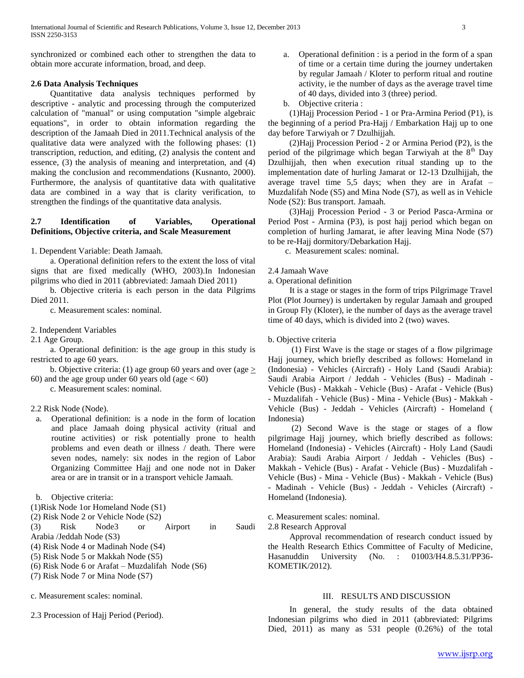synchronized or combined each other to strengthen the data to obtain more accurate information, broad, and deep.

# **2.6 Data Analysis Techniques**

 Quantitative data analysis techniques performed by descriptive - analytic and processing through the computerized calculation of "manual" or using computation "simple algebraic equations", in order to obtain information regarding the description of the Jamaah Died in 2011.Technical analysis of the qualitative data were analyzed with the following phases: (1) transcription, reduction, and editing, (2) analysis the content and essence, (3) the analysis of meaning and interpretation, and (4) making the conclusion and recommendations (Kusnanto, 2000). Furthermore, the analysis of quantitative data with qualitative data are combined in a way that is clarity verification, to strengthen the findings of the quantitative data analysis.

# **2.7 Identification of Variables, Operational Definitions, Objective criteria, and Scale Measurement**

1. Dependent Variable: Death Jamaah.

 a. Operational definition refers to the extent the loss of vital signs that are fixed medically (WHO, 2003).In Indonesian pilgrims who died in 2011 (abbreviated: Jamaah Died 2011)

 b. Objective criteria is each person in the data Pilgrims Died 2011.

c. Measurement scales: nominal.

2. Independent Variables

2.1 Age Group.

 a. Operational definition: is the age group in this study is restricted to age 60 years.

b. Objective criteria: (1) age group 60 years and over (age  $\geq$ 60) and the age group under 60 years old (age  $< 60$ )

c. Measurement scales: nominal.

### 2.2 Risk Node (Node).

a. Operational definition: is a node in the form of location and place Jamaah doing physical activity (ritual and routine activities) or risk potentially prone to health problems and even death or illness / death. There were seven nodes, namely: six nodes in the region of Labor Organizing Committee Hajj and one node not in Daker area or are in transit or in a transport vehicle Jamaah.

b. Objective criteria:

(1)Risk Node 1or Homeland Node (S1)

(2) Risk Node 2 or Vehicle Node (S2)

(3) Risk Node3 or Airport in Saudi Arabia /Jeddah Node (S3)

(4) Risk Node 4 or Madinah Node (S4)

(5) Risk Node 5 or Makkah Node (S5)

(6) Risk Node 6 or Arafat – Muzdalifah Node (S6)

(7) Risk Node 7 or Mina Node (S7)

c. Measurement scales: nominal.

2.3 Procession of Hajj Period (Period).

- a. Operational definition : is a period in the form of a span of time or a certain time during the journey undertaken by regular Jamaah / Kloter to perform ritual and routine activity, ie the number of days as the average travel time of 40 days, divided into 3 (three) period.
- b. Objective criteria :

 (1)Hajj Procession Period - 1 or Pra-Armina Period (P1), is the beginning of a period Pra-Hajj / Embarkation Hajj up to one day before Tarwiyah or 7 Dzulhijjah.

 (2)Hajj Procession Period - 2 or Armina Period (P2), is the period of the pilgrimage which began Tarwiyah at the  $8<sup>th</sup>$  Day Dzulhijjah, then when execution ritual standing up to the implementation date of hurling Jamarat or 12-13 Dzulhijjah, the average travel time 5,5 days; when they are in Arafat – Muzdalifah Node (S5) and Mina Node (S7), as well as in Vehicle Node (S2): Bus transport. Jamaah.

 (3)Hajj Procession Period - 3 or Period Pasca-Armina or Period Post - Armina (P3), is post hajj period which began on completion of hurling Jamarat, ie after leaving Mina Node (S7) to be re-Hajj dormitory/Debarkation Hajj.

c. Measurement scales: nominal.

### 2.4 Jamaah Wave

a. Operational definition

 It is a stage or stages in the form of trips Pilgrimage Travel Plot (Plot Journey) is undertaken by regular Jamaah and grouped in Group Fly (Kloter), ie the number of days as the average travel time of 40 days, which is divided into 2 (two) waves.

### b. Objective criteria

 (1) First Wave is the stage or stages of a flow pilgrimage Hajj journey, which briefly described as follows: Homeland in (Indonesia) - Vehicles (Aircraft) - Holy Land (Saudi Arabia): Saudi Arabia Airport / Jeddah - Vehicles (Bus) - Madinah - Vehicle (Bus) - Makkah - Vehicle (Bus) - Arafat - Vehicle (Bus) - Muzdalifah - Vehicle (Bus) - Mina - Vehicle (Bus) - Makkah - Vehicle (Bus) - Jeddah - Vehicles (Aircraft) - Homeland ( Indonesia)

 (2) Second Wave is the stage or stages of a flow pilgrimage Hajj journey, which briefly described as follows: Homeland (Indonesia) - Vehicles (Aircraft) - Holy Land (Saudi Arabia): Saudi Arabia Airport / Jeddah - Vehicles (Bus) - Makkah - Vehicle (Bus) - Arafat - Vehicle (Bus) - Muzdalifah - Vehicle (Bus) - Mina - Vehicle (Bus) - Makkah - Vehicle (Bus) - Madinah - Vehicle (Bus) - Jeddah - Vehicles (Aircraft) - Homeland (Indonesia).

c. Measurement scales: nominal.

2.8 Research Approval

 Approval recommendation of research conduct issued by the Health Research Ethics Committee of Faculty of Medicine, Hasanuddin University (No. : 01003/H4.8.5.31/PP36- KOMETIK/2012).

# III. RESULTS AND DISCUSSION

 In general, the study results of the data obtained Indonesian pilgrims who died in 2011 (abbreviated: Pilgrims Died, 2011) as many as 531 people (0.26%) of the total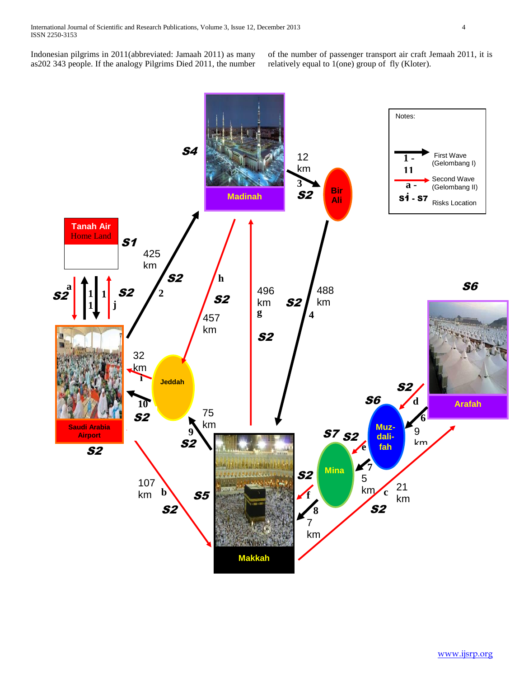Indonesian pilgrims in 2011(abbreviated: Jamaah 2011) as many as202 343 people. If the analogy Pilgrims Died 2011, the number of the number of passenger transport air craft Jemaah 2011, it is relatively equal to 1(one) group of fly (Kloter).

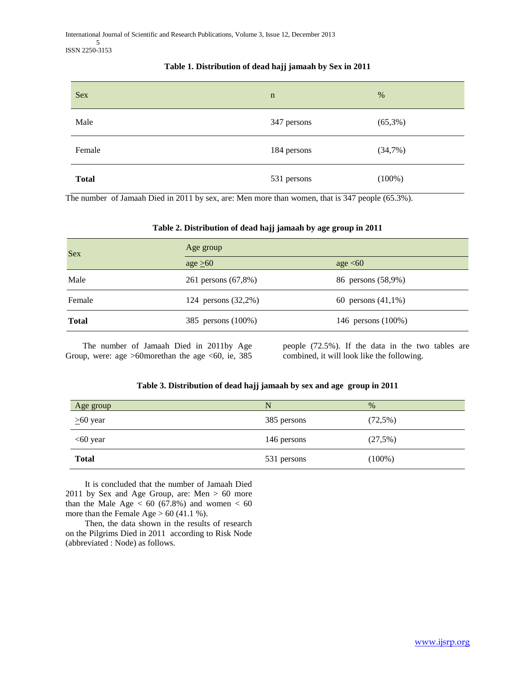# $Sex$  n  $\%$ Male 347 persons (65,3%) Female 184 persons (34,7%) **Total** 531 persons (100%)

# **Table 1. Distribution of dead hajj jamaah by Sex in 2011**

The number of Jamaah Died in 2011 by sex, are: Men more than women, that is 347 people (65.3%).

# **Table 2. Distribution of dead hajj jamaah by age group in 2011**

| <b>Sex</b>   | Age group           |                       |  |
|--------------|---------------------|-----------------------|--|
|              | age $\geq 60$       | age $\leq 60$         |  |
| Male         | 261 persons (67,8%) | 86 persons (58,9%)    |  |
| Female       | 124 persons (32,2%) | 60 persons $(41,1\%)$ |  |
| <b>Total</b> | 385 persons (100%)  | 146 persons (100%)    |  |

 The number of Jamaah Died in 2011by Age Group, were: age  $>60$  more than the age  $< 60$ , ie, 385 people (72.5%). If the data in the two tables are combined, it will look like the following.

# **Table 3. Distribution of dead hajj jamaah by sex and age group in 2011**

| Age group      | N           | $\%$       |
|----------------|-------------|------------|
| $\geq 60$ year | 385 persons | $(72,5\%)$ |
| $<60$ year     | 146 persons | $(27,5\%)$ |
| <b>Total</b>   | 531 persons | $(100\%)$  |

 It is concluded that the number of Jamaah Died 2011 by Sex and Age Group, are: Men > 60 more than the Male Age  $< 60 (67.8%)$  and women  $< 60$ more than the Female Age  $> 60$  (41.1 %).

 Then, the data shown in the results of research on the Pilgrims Died in 2011 according to Risk Node (abbreviated : Node) as follows.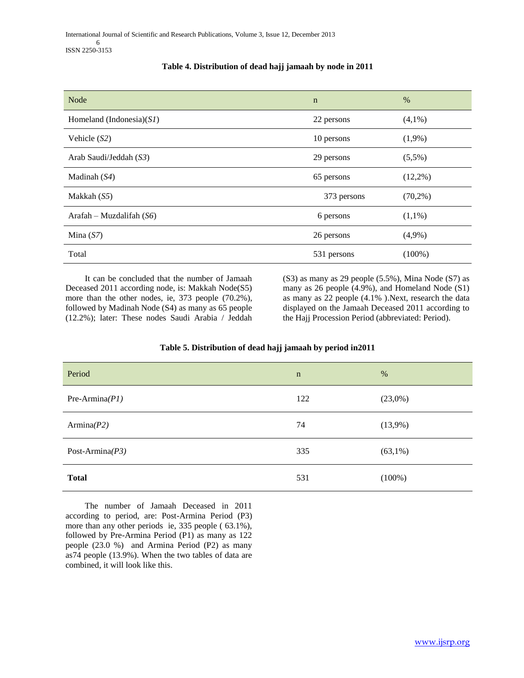| Node                        | $\mathbf n$ | $\%$       |
|-----------------------------|-------------|------------|
| Homeland (Indonesia) $(SI)$ | 22 persons  | $(4,1\%)$  |
| Vehicle $(S2)$              | 10 persons  | $(1,9\%)$  |
| Arab Saudi/Jeddah (S3)      | 29 persons  | $(5,5\%)$  |
| Madinah $(S4)$              | 65 persons  | $(12,2\%)$ |
| Makkah $(S5)$               | 373 persons | $(70,2\%)$ |
| Arafah – Muzdalifah $(S6)$  | 6 persons   | $(1,1\%)$  |
| Mina $(S7)$                 | 26 persons  | $(4,9\%)$  |
| Total                       | 531 persons | $(100\%)$  |

# **Table 4. Distribution of dead hajj jamaah by node in 2011**

 It can be concluded that the number of Jamaah Deceased 2011 according node, is: Makkah Node(S5) more than the other nodes, ie, 373 people (70.2%), followed by Madinah Node (S4) as many as 65 people (12.2%); later: These nodes Saudi Arabia / Jeddah (S3) as many as 29 people (5.5%), Mina Node (S7) as many as 26 people (4.9%), and Homeland Node (S1) as many as 22 people (4.1% ).Next, research the data displayed on the Jamaah Deceased 2011 according to the Hajj Procession Period (abbreviated: Period).

| Period             | $\mathbf n$ | %          |
|--------------------|-------------|------------|
| Pre-Armina $(PI)$  | 122         | (23,0%)    |
| Armina $(P2)$      | 74          | $(13,9\%)$ |
| Post-Armina $(P3)$ | 335         | $(63,1\%)$ |
| <b>Total</b>       | 531         | $(100\%)$  |

# **Table 5. Distribution of dead hajj jamaah by period in2011**

 The number of Jamaah Deceased in 2011 according to period, are: Post-Armina Period (P3) more than any other periods ie, 335 people ( 63.1%), followed by Pre-Armina Period (P1) as many as 122 people (23.0 %) and Armina Period (P2) as many as74 people (13.9%). When the two tables of data are combined, it will look like this.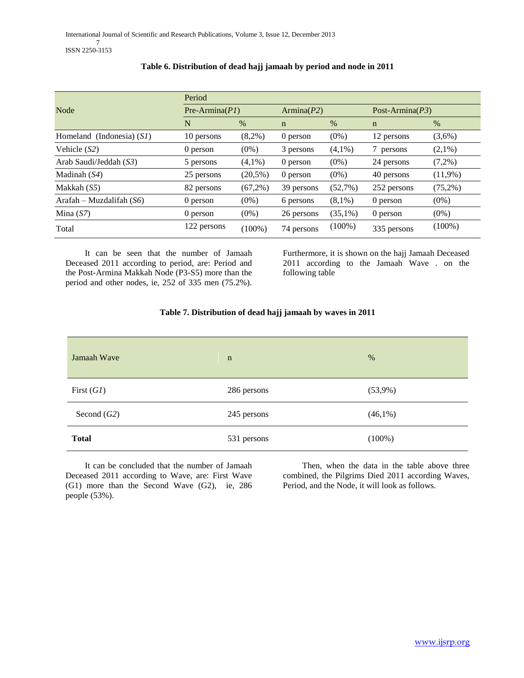| Node                        | Period      |                  |             |               |             |                    |  |
|-----------------------------|-------------|------------------|-------------|---------------|-------------|--------------------|--|
|                             |             | $Pre-Armina(PI)$ |             | Armina $(P2)$ |             | Post-Armina $(P3)$ |  |
|                             | N           | $\%$             | $\mathbf n$ | $\%$          | $\mathbf n$ | $\%$               |  |
| Homeland (Indonesia) $(SI)$ | 10 persons  | $(8,2\%)$        | 0 person    | $(0\%)$       | 12 persons  | (3,6%)             |  |
| Vehicle $(S2)$              | 0 person    | $(0\%)$          | 3 persons   | $(4,1\%)$     | 7 persons   | $(2,1\%)$          |  |
| Arab Saudi/Jeddah (S3)      | 5 persons   | $(4.1\%)$        | 0 person    | $(0\%)$       | 24 persons  | $(7,2\%)$          |  |
| Madinah $(S4)$              | 25 persons  | $(20,5\%)$       | 0 person    | $(0\%)$       | 40 persons  | $(11,9\%)$         |  |
| Makkah (S5)                 | 82 persons  | $(67,2\%)$       | 39 persons  | (52,7%)       | 252 persons | $(75,2\%)$         |  |
| Arafah – Muzdalifah $(S6)$  | 0 person    | $(0\%)$          | 6 persons   | $(8,1\%)$     | 0 person    | $(0\%)$            |  |
| Mina $(S7)$                 | 0 person    | $(0\%)$          | 26 persons  | $(35,1\%)$    | 0 person    | $(0\%)$            |  |
| Total                       | 122 persons | $(100\%)$        | 74 persons  | $(100\%)$     | 335 persons | $(100\%)$          |  |

# **Table 6. Distribution of dead hajj jamaah by period and node in 2011**

 It can be seen that the number of Jamaah Deceased 2011 according to period, are: Period and the Post-Armina Makkah Node (P3-S5) more than the period and other nodes, ie, 252 of 335 men (75.2%).

Furthermore, it is shown on the hajj Jamaah Deceased 2011 according to the Jamaah Wave . on the following table

# **Table 7. Distribution of dead hajj jamaah by waves in 2011**

| Jamaah Wave   | $\mathbf n$ | $\%$       |
|---------------|-------------|------------|
| First $(GI)$  | 286 persons | $(53,9\%)$ |
| Second $(G2)$ | 245 persons | $(46,1\%)$ |
| <b>Total</b>  | 531 persons | $(100\%)$  |

 It can be concluded that the number of Jamaah Deceased 2011 according to Wave, are: First Wave (G1) more than the Second Wave (G2), ie, 286 people (53%).

 Then, when the data in the table above three combined, the Pilgrims Died 2011 according Waves, Period, and the Node, it will look as follows.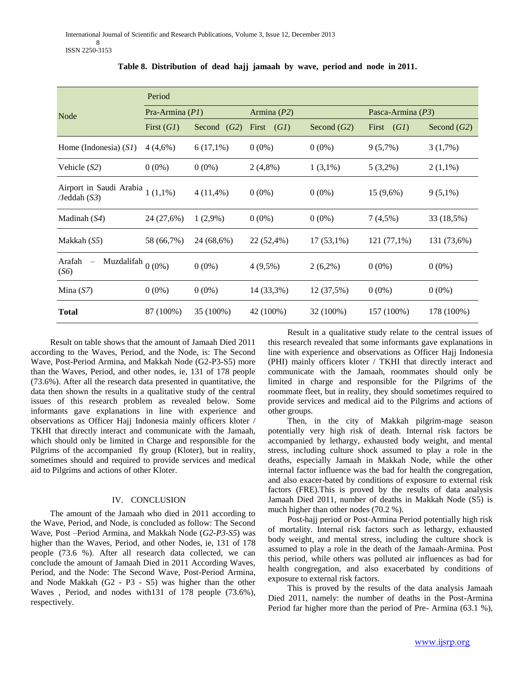|                                                                     | Period            |               |               |               |                     |               |  |
|---------------------------------------------------------------------|-------------------|---------------|---------------|---------------|---------------------|---------------|--|
| Node                                                                | Pra-Armina $(PI)$ |               | Armina $(P2)$ |               | Pasca-Armina $(P3)$ |               |  |
|                                                                     | First $(GI)$      | Second $(G2)$ | First $(GI)$  | Second $(G2)$ | First $(GI)$        | Second $(G2)$ |  |
| Home (Indonesia) $(SI)$                                             | 4(4,6%)           | $6(17,1\%)$   | $0(0\%)$      | $0(0\%)$      | $9(5,7\%)$          | $3(1,7\%)$    |  |
| Vehicle $(S2)$                                                      | $0(0\%)$          | $0(0\%)$      | $2(4,8\%)$    | $1(3,1\%)$    | $5(3,2\%)$          | $2(1,1\%)$    |  |
| Airport in Saudi Arabia $1(1,1\%)$<br>$/$ Jeddah $(S3)$             |                   | $4(11,4\%)$   | $0(0\%)$      | $0(0\%)$      | $15(9,6\%)$         | $9(5,1\%)$    |  |
| Madinah $(S4)$                                                      | 24 (27,6%)        | $1(2,9\%)$    | $0(0\%)$      | $0(0\%)$      | $7(4,5\%)$          | 33 (18,5%)    |  |
| Makkah $(S5)$                                                       | 58 (66,7%)        | 24 (68,6%)    | 22 (52,4%)    | $17(53,1\%)$  | $121(77,1\%)$       | 131 (73,6%)   |  |
| Muzdalifah $0\,(0\%)$<br>Arafah<br>$\overline{\phantom{0}}$<br>(S6) |                   | $0(0\%)$      | $4(9,5\%)$    | $2(6,2\%)$    | $0(0\%)$            | $0(0\%)$      |  |
| Mina $(S7)$                                                         | $0(0\%)$          | $0(0\%)$      | 14 (33,3%)    | $12(37,5\%)$  | $0(0\%)$            | $0(0\%)$      |  |
| <b>Total</b>                                                        | 87 (100%)         | 35 (100%)     | 42 (100%)     | 32 (100%)     | 157 (100%)          | 178 (100%)    |  |

**Table 8. Distribution of dead hajj jamaah by wave, period and node in 2011.**

 Result on table shows that the amount of Jamaah Died 2011 according to the Waves, Period, and the Node, is: The Second Wave, Post-Period Armina, and Makkah Node (G2-P3-S5) more than the Waves, Period, and other nodes, ie, 131 of 178 people (73.6%). After all the research data presented in quantitative, the data then shown the results in a qualitative study of the central issues of this research problem as revealed below. Some informants gave explanations in line with experience and observations as Officer Hajj Indonesia mainly officers kloter / TKHI that directly interact and communicate with the Jamaah, which should only be limited in Charge and responsible for the Pilgrims of the accompanied fly group (Kloter), but in reality, sometimes should and required to provide services and medical aid to Pilgrims and actions of other Kloter.

# IV. CONCLUSION

 The amount of the Jamaah who died in 2011 according to the Wave, Period, and Node, is concluded as follow: The Second Wave, Post –Period Armina, and Makkah Node (*G2-P3-S5*) was higher than the Waves, Period, and other Nodes, ie, 131 of 178 people (73.6 %). After all research data collected, we can conclude the amount of Jamaah Died in 2011 According Waves, Period, and the Node: The Second Wave, Post-Period Armina, and Node Makkah (G2 - P3 - S5) was higher than the other Waves , Period, and nodes with131 of 178 people (73.6%), respectively.

 Result in a qualitative study relate to the central issues of this research revealed that some informants gave explanations in line with experience and observations as Officer Hajj Indonesia (PHI) mainly officers kloter / TKHI that directly interact and communicate with the Jamaah, roommates should only be limited in charge and responsible for the Pilgrims of the roommate fleet, but in reality, they should sometimes required to provide services and medical aid to the Pilgrims and actions of other groups.

 Then, in the city of Makkah pilgrim-mage season potentially very high risk of death. Internal risk factors be accompanied by lethargy, exhausted body weight, and mental stress, including culture shock assumed to play a role in the deaths, especially Jamaah in Makkah Node, while the other internal factor influence was the bad for health the congregation, and also exacer-bated by conditions of exposure to external risk factors (FRE).This is proved by the results of data analysis Jamaah Died 2011, number of deaths in Makkah Node (S5) is much higher than other nodes (70.2 %).

 Post-hajj period or Post-Armina Period potentially high risk of mortality. Internal risk factors such as lethargy, exhausted body weight, and mental stress, including the culture shock is assumed to play a role in the death of the Jamaah-Armina. Post this period, while others was polluted air influences as bad for health congregation, and also exacerbated by conditions of exposure to external risk factors.

 This is proved by the results of the data analysis Jamaah Died 2011, namely: the number of deaths in the Post-Armina Period far higher more than the period of Pre- Armina (63.1 %),